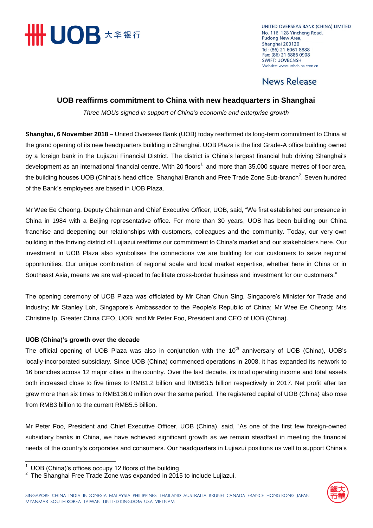

UNITED OVERSEAS BANK (CHINA) LIMITED No. 116, 128 Yincheng Road, Pudong New Area, Shanghai 200120 Tel: (86) 21 6061 8888 Fax: (86) 21 6886 0908 **SWIFT: UOVBCNSH** Website: www.uobchina.com.cn

## **News Release**

### **UOB reaffirms commitment to China with new headquarters in Shanghai**

*Three MOUs signed in support of China's economic and enterprise growth*

**Shanghai, 6 November 2018** – United Overseas Bank (UOB) today reaffirmed its long-term commitment to China at the grand opening of its new headquarters building in Shanghai. UOB Plaza is the first Grade-A office building owned by a foreign bank in the Lujiazui Financial District. The district is China's largest financial hub driving Shanghai's development as an international financial centre. With 20 floors<sup>1</sup> and more than 35,000 square metres of floor area, the building houses UOB (China)'s head office, Shanghai Branch and Free Trade Zone Sub-branch<sup>2</sup>. Seven hundred of the Bank's employees are based in UOB Plaza.

Mr Wee Ee Cheong, Deputy Chairman and Chief Executive Officer, UOB, said, "We first established our presence in China in 1984 with a Beijing representative office. For more than 30 years, UOB has been building our China franchise and deepening our relationships with customers, colleagues and the community. Today, our very own building in the thriving district of Lujiazui reaffirms our commitment to China's market and our stakeholders here. Our investment in UOB Plaza also symbolises the connections we are building for our customers to seize regional opportunities. Our unique combination of regional scale and local market expertise, whether here in China or in Southeast Asia, means we are well-placed to facilitate cross-border business and investment for our customers."

The opening ceremony of UOB Plaza was officiated by Mr Chan Chun Sing, Singapore's Minister for Trade and Industry; Mr Stanley Loh, Singapore's Ambassador to the People's Republic of China; Mr Wee Ee Cheong; Mrs Christine Ip, Greater China CEO, UOB; and Mr Peter Foo, President and CEO of UOB (China).

### **UOB (China)'s growth over the decade**

The official opening of UOB Plaza was also in conjunction with the  $10<sup>th</sup>$  anniversary of UOB (China), UOB's locally-incorporated subsidiary. Since UOB (China) commenced operations in 2008, it has expanded its network to 16 branches across 12 major cities in the country. Over the last decade, its total operating income and total assets both increased close to five times to RMB1.2 billion and RMB63.5 billion respectively in 2017. Net profit after tax grew more than six times to RMB136.0 million over the same period. The registered capital of UOB (China) also rose from RMB3 billion to the current RMB5.5 billion.

Mr Peter Foo, President and Chief Executive Officer, UOB (China), said, "As one of the first few foreign-owned subsidiary banks in China, we have achieved significant growth as we remain steadfast in meeting the financial needs of the country's corporates and consumers. Our headquarters in Lujiazui positions us well to support China's



UOB (China)'s offices occupy 12 floors of the building

<sup>2</sup> The Shanghai Free Trade Zone was expanded in 2015 to include Lujiazui.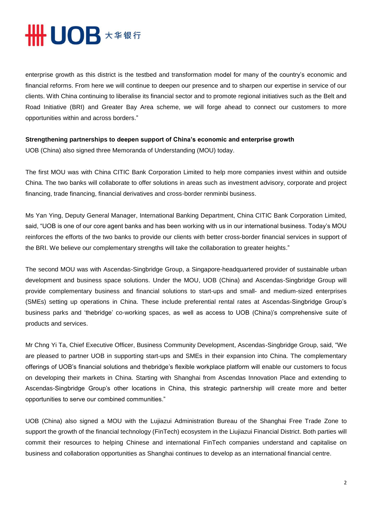# **# UOB 大华银行**

enterprise growth as this district is the testbed and transformation model for many of the country's economic and financial reforms. From here we will continue to deepen our presence and to sharpen our expertise in service of our clients. With China continuing to liberalise its financial sector and to promote regional initiatives such as the Belt and Road Initiative (BRI) and Greater Bay Area scheme, we will forge ahead to connect our customers to more opportunities within and across borders."

#### **Strengthening partnerships to deepen support of China's economic and enterprise growth**

UOB (China) also signed three Memoranda of Understanding (MOU) today.

The first MOU was with China CITIC Bank Corporation Limited to help more companies invest within and outside China. The two banks will collaborate to offer solutions in areas such as investment advisory, corporate and project financing, trade financing, financial derivatives and cross-border renminbi business.

Ms Yan Ying, Deputy General Manager, International Banking Department, China CITIC Bank Corporation Limited, said, "UOB is one of our core agent banks and has been working with us in our international business. Today's MOU reinforces the efforts of the two banks to provide our clients with better cross-border financial services in support of the BRI. We believe our complementary strengths will take the collaboration to greater heights."

The second MOU was with Ascendas-Singbridge Group, a Singapore-headquartered provider of sustainable urban development and business space solutions. Under the MOU, UOB (China) and Ascendas-Singbridge Group will provide complementary business and financial solutions to start-ups and small- and medium-sized enterprises (SMEs) setting up operations in China. These include preferential rental rates at Ascendas-Singbridge Group's business parks and 'thebridge' co-working spaces, as well as access to UOB (China)'s comprehensive suite of products and services.

Mr Chng Yi Ta, Chief Executive Officer, Business Community Development, Ascendas-Singbridge Group, said, "We are pleased to partner UOB in supporting start-ups and SMEs in their expansion into China. The complementary offerings of UOB's financial solutions and thebridge's flexible workplace platform will enable our customers to focus on developing their markets in China. Starting with Shanghai from Ascendas Innovation Place and extending to Ascendas-Singbridge Group's other locations in China, this strategic partnership will create more and better opportunities to serve our combined communities."

UOB (China) also signed a MOU with the Lujiazui Administration Bureau of the Shanghai Free Trade Zone to support the growth of the financial technology (FinTech) ecosystem in the Liujiazui Financial District. Both parties will commit their resources to helping Chinese and international FinTech companies understand and capitalise on business and collaboration opportunities as Shanghai continues to develop as an international financial centre.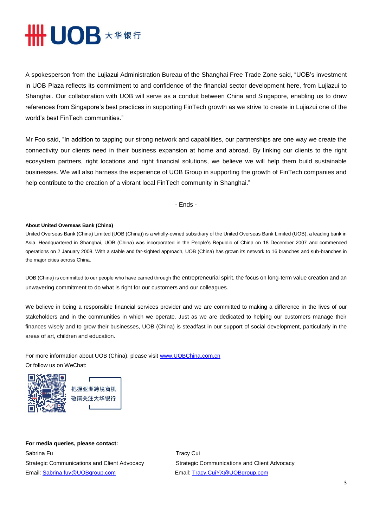# **HHUOB \*\*\*\***

A spokesperson from the Lujiazui Administration Bureau of the Shanghai Free Trade Zone said, "UOB's investment in UOB Plaza reflects its commitment to and confidence of the financial sector development here, from Lujiazui to Shanghai. Our collaboration with UOB will serve as a conduit between China and Singapore, enabling us to draw references from Singapore's best practices in supporting FinTech growth as we strive to create in Lujiazui one of the world's best FinTech communities."

Mr Foo said, "In addition to tapping our strong network and capabilities, our partnerships are one way we create the connectivity our clients need in their business expansion at home and abroad. By linking our clients to the right ecosystem partners, right locations and right financial solutions, we believe we will help them build sustainable businesses. We will also harness the experience of UOB Group in supporting the growth of FinTech companies and help contribute to the creation of a vibrant local FinTech community in Shanghai."

- Ends -

#### **About United Overseas Bank (China)**

United Overseas Bank (China) Limited (UOB (China)) is a wholly-owned subsidiary of the United Overseas Bank Limited (UOB), a leading bank in Asia. Headquartered in Shanghai, UOB (China) was incorporated in the People's Republic of China on 18 December 2007 and commenced operations on 2 January 2008. With a stable and far-sighted approach, UOB (China) has grown its network to 16 branches and sub-branches in the major cities across China.

UOB (China) is committed to our people who have carried through the entrepreneurial spirit, the focus on long-term value creation and an unwavering commitment to do what is right for our customers and our colleagues.

We believe in being a responsible financial services provider and we are committed to making a difference in the lives of our stakeholders and in the communities in which we operate. Just as we are dedicated to helping our customers manage their finances wisely and to grow their businesses, UOB (China) is steadfast in our support of social development, particularly in the areas of art, children and education.

For more information about UOB (China), please visit www.UOBChina.com.cn Or follow us on WeChat:





**For media queries, please contact:**  Sabrina Fu **Tracy Cui** Email: [Sabrina.fuy@UOBgroup.com](mailto:Sabrina.fuy@UOBgroup.com) Email[: Tracy.CuiYX@UOBgroup.com](mailto:Tracy.CuiYX@UOBgroup.com)

Strategic Communications and Client Advocacy Strategic Communications and Client Advocacy